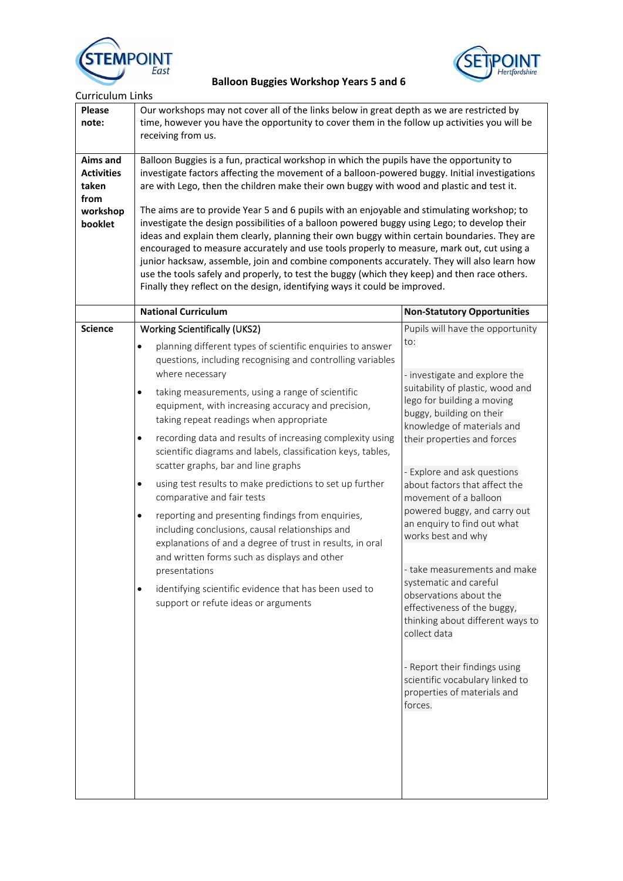



| <b>Curriculum Links</b>                                               |                                                                                                                                                                                                                                                                                                                                                                                                                                                                                                                                                                                                                                                                                                                                                                                                                                                                                                                                                                                                                             |                                                                                                                                                                                                                                                                                                                                                                                                                                                                                                                                                                                                                                                                                                        |  |
|-----------------------------------------------------------------------|-----------------------------------------------------------------------------------------------------------------------------------------------------------------------------------------------------------------------------------------------------------------------------------------------------------------------------------------------------------------------------------------------------------------------------------------------------------------------------------------------------------------------------------------------------------------------------------------------------------------------------------------------------------------------------------------------------------------------------------------------------------------------------------------------------------------------------------------------------------------------------------------------------------------------------------------------------------------------------------------------------------------------------|--------------------------------------------------------------------------------------------------------------------------------------------------------------------------------------------------------------------------------------------------------------------------------------------------------------------------------------------------------------------------------------------------------------------------------------------------------------------------------------------------------------------------------------------------------------------------------------------------------------------------------------------------------------------------------------------------------|--|
| <b>Please</b><br>note:                                                | Our workshops may not cover all of the links below in great depth as we are restricted by<br>time, however you have the opportunity to cover them in the follow up activities you will be<br>receiving from us.                                                                                                                                                                                                                                                                                                                                                                                                                                                                                                                                                                                                                                                                                                                                                                                                             |                                                                                                                                                                                                                                                                                                                                                                                                                                                                                                                                                                                                                                                                                                        |  |
| Aims and<br><b>Activities</b><br>taken<br>from<br>workshop<br>booklet | Balloon Buggies is a fun, practical workshop in which the pupils have the opportunity to<br>investigate factors affecting the movement of a balloon-powered buggy. Initial investigations<br>are with Lego, then the children make their own buggy with wood and plastic and test it.<br>The aims are to provide Year 5 and 6 pupils with an enjoyable and stimulating workshop; to<br>investigate the design possibilities of a balloon powered buggy using Lego; to develop their<br>ideas and explain them clearly, planning their own buggy within certain boundaries. They are<br>encouraged to measure accurately and use tools properly to measure, mark out, cut using a<br>junior hacksaw, assemble, join and combine components accurately. They will also learn how<br>use the tools safely and properly, to test the buggy (which they keep) and then race others.<br>Finally they reflect on the design, identifying ways it could be improved.                                                                |                                                                                                                                                                                                                                                                                                                                                                                                                                                                                                                                                                                                                                                                                                        |  |
|                                                                       | <b>National Curriculum</b>                                                                                                                                                                                                                                                                                                                                                                                                                                                                                                                                                                                                                                                                                                                                                                                                                                                                                                                                                                                                  | <b>Non-Statutory Opportunities</b>                                                                                                                                                                                                                                                                                                                                                                                                                                                                                                                                                                                                                                                                     |  |
| <b>Science</b>                                                        | <b>Working Scientifically (UKS2)</b><br>planning different types of scientific enquiries to answer<br>$\bullet$<br>questions, including recognising and controlling variables<br>where necessary<br>taking measurements, using a range of scientific<br>$\bullet$<br>equipment, with increasing accuracy and precision,<br>taking repeat readings when appropriate<br>recording data and results of increasing complexity using<br>$\bullet$<br>scientific diagrams and labels, classification keys, tables,<br>scatter graphs, bar and line graphs<br>using test results to make predictions to set up further<br>$\bullet$<br>comparative and fair tests<br>reporting and presenting findings from enquiries,<br>$\bullet$<br>including conclusions, causal relationships and<br>explanations of and a degree of trust in results, in oral<br>and written forms such as displays and other<br>presentations<br>identifying scientific evidence that has been used to<br>$\bullet$<br>support or refute ideas or arguments | Pupils will have the opportunity<br>to:<br>- investigate and explore the<br>suitability of plastic, wood and<br>lego for building a moving<br>buggy, building on their<br>knowledge of materials and<br>their properties and forces<br>- Explore and ask questions<br>about factors that affect the<br>movement of a balloon<br>powered buggy, and carry out<br>an enquiry to find out what<br>works best and why<br>- take measurements and make<br>systematic and careful<br>observations about the<br>effectiveness of the buggy,<br>thinking about different ways to<br>collect data<br>- Report their findings using<br>scientific vocabulary linked to<br>properties of materials and<br>forces. |  |